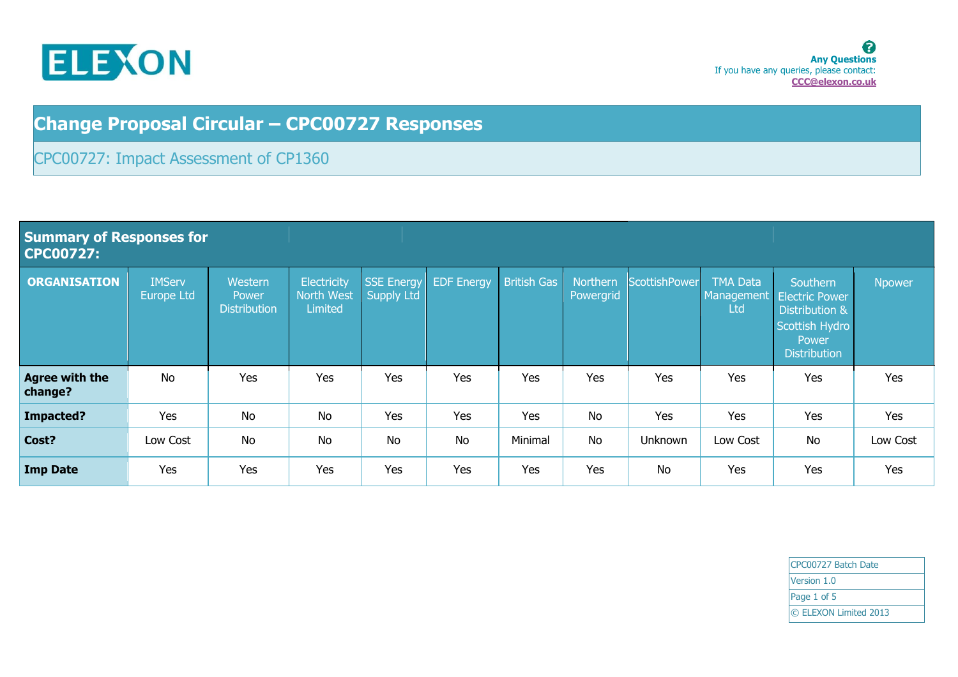

**Summary of Responses for** 

## **Change Proposal Circular – CPC00727 Responses**

## CPC00727: Impact Assessment of CP1360

| CPC00727:                        |                                    |                                         |                                      |                                        |                   |                    |                       |               |                                             |                                                                                                       |               |
|----------------------------------|------------------------------------|-----------------------------------------|--------------------------------------|----------------------------------------|-------------------|--------------------|-----------------------|---------------|---------------------------------------------|-------------------------------------------------------------------------------------------------------|---------------|
| <b>ORGANISATION</b>              | <b>IMServ</b><br><b>Europe Ltd</b> | Western<br>Power<br><b>Distribution</b> | Electricity<br>North West<br>Limited | <b>SSE Energy</b><br><b>Supply Ltd</b> | <b>EDF</b> Energy | <b>British Gas</b> | Northern<br>Powergrid | ScottishPower | <b>TMA Data</b><br>Management<br><b>Ltd</b> | Southern<br><b>Electric Power</b><br>Distribution &<br>Scottish Hydro<br>Power<br><b>Distribution</b> | <b>Npower</b> |
| <b>Agree with the</b><br>change? | No                                 | Yes                                     | Yes                                  | Yes                                    | Yes               | Yes                | Yes                   | Yes           | Yes                                         | Yes                                                                                                   | Yes           |
| Impacted?                        | Yes                                | <b>No</b>                               | <b>No</b>                            | Yes                                    | Yes               | Yes                | No                    | Yes           | Yes                                         | Yes                                                                                                   | Yes           |
| Cost?                            | Low Cost                           | <b>No</b>                               | <b>No</b>                            | <b>No</b>                              | <b>No</b>         | Minimal            | <b>No</b>             | Unknown       | Low Cost                                    | <b>No</b>                                                                                             | Low Cost      |
| <b>Imp Date</b>                  | Yes                                | Yes                                     | Yes                                  | Yes                                    | Yes               | Yes                | Yes                   | <b>No</b>     | Yes                                         | Yes                                                                                                   | Yes           |

CPC00727 Batch Date Version 1.0 Page 1 of 5 © ELEXON Limited 2013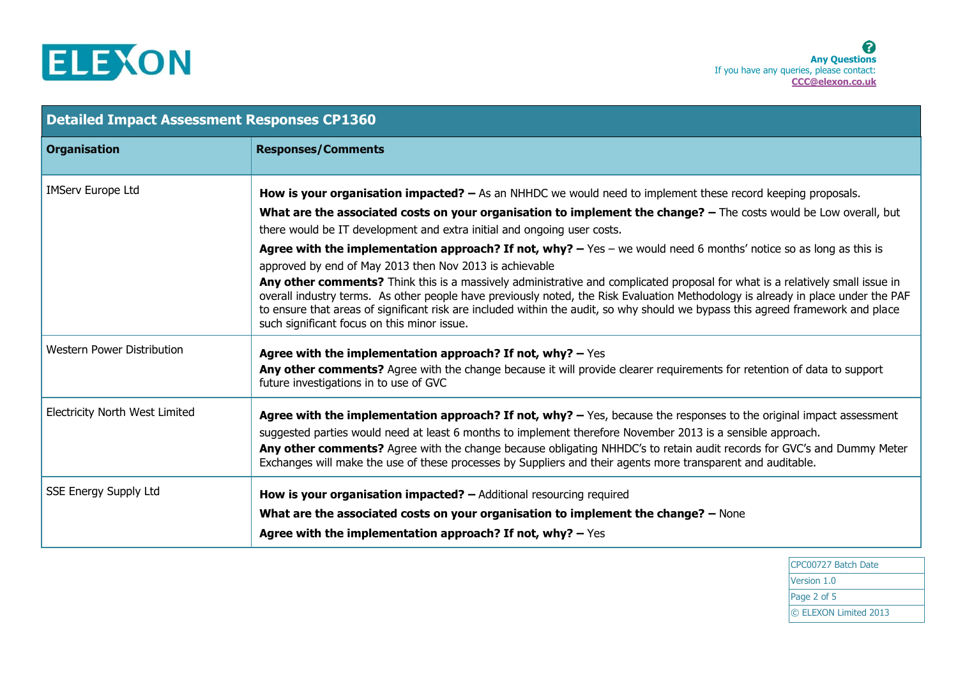

| <b>Detailed Impact Assessment Responses CP1360</b> |                                                                                                                                                                                                                                                                                                                                                                                                                                                                                                                                                                                                                                                                                                                                                                                                                                                                                                                                                                 |  |  |  |
|----------------------------------------------------|-----------------------------------------------------------------------------------------------------------------------------------------------------------------------------------------------------------------------------------------------------------------------------------------------------------------------------------------------------------------------------------------------------------------------------------------------------------------------------------------------------------------------------------------------------------------------------------------------------------------------------------------------------------------------------------------------------------------------------------------------------------------------------------------------------------------------------------------------------------------------------------------------------------------------------------------------------------------|--|--|--|
| <b>Organisation</b>                                | <b>Responses/Comments</b>                                                                                                                                                                                                                                                                                                                                                                                                                                                                                                                                                                                                                                                                                                                                                                                                                                                                                                                                       |  |  |  |
| <b>IMServ Europe Ltd</b>                           | <b>How is your organisation impacted?</b> $-$ As an NHHDC we would need to implement these record keeping proposals.<br>What are the associated costs on your organisation to implement the change? - The costs would be Low overall, but<br>there would be IT development and extra initial and ongoing user costs.<br>Agree with the implementation approach? If not, why? $-$ Yes $-$ we would need 6 months' notice so as long as this is<br>approved by end of May 2013 then Nov 2013 is achievable<br>Any other comments? Think this is a massively administrative and complicated proposal for what is a relatively small issue in<br>overall industry terms. As other people have previously noted, the Risk Evaluation Methodology is already in place under the PAF<br>to ensure that areas of significant risk are included within the audit, so why should we bypass this agreed framework and place<br>such significant focus on this minor issue. |  |  |  |
| <b>Western Power Distribution</b>                  | Agree with the implementation approach? If not, why? $-$ Yes<br>Any other comments? Agree with the change because it will provide clearer requirements for retention of data to support<br>future investigations in to use of GVC                                                                                                                                                                                                                                                                                                                                                                                                                                                                                                                                                                                                                                                                                                                               |  |  |  |
| <b>Electricity North West Limited</b>              | Agree with the implementation approach? If not, why? $-$ Yes, because the responses to the original impact assessment<br>suggested parties would need at least 6 months to implement therefore November 2013 is a sensible approach.<br>Any other comments? Agree with the change because obligating NHHDC's to retain audit records for GVC's and Dummy Meter<br>Exchanges will make the use of these processes by Suppliers and their agents more transparent and auditable.                                                                                                                                                                                                                                                                                                                                                                                                                                                                                  |  |  |  |
| <b>SSE Energy Supply Ltd</b>                       | <b>How is your organisation impacted?</b> $-$ Additional resourcing required<br>What are the associated costs on your organisation to implement the change? - None<br>Agree with the implementation approach? If not, why? $-$ Yes                                                                                                                                                                                                                                                                                                                                                                                                                                                                                                                                                                                                                                                                                                                              |  |  |  |

CPC00727 Batch Date Version 1.0 Page 2 of 5 © ELEXON Limited 2013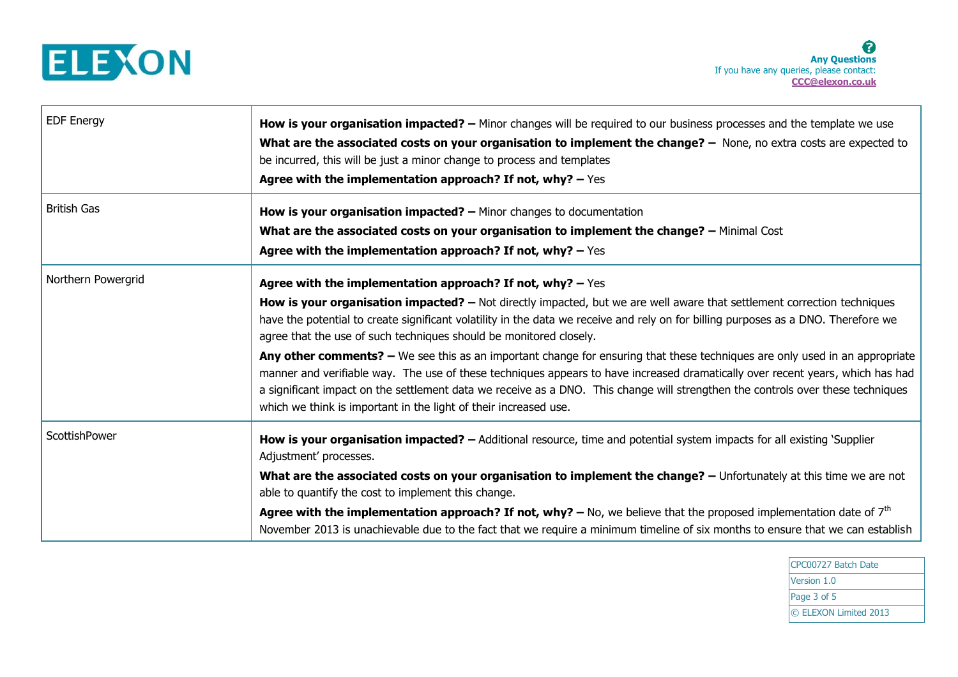

| <b>EDF Energy</b>  | How is your organisation impacted? – Minor changes will be required to our business processes and the template we use<br>What are the associated costs on your organisation to implement the change? - None, no extra costs are expected to<br>be incurred, this will be just a minor change to process and templates<br>Agree with the implementation approach? If not, why? $-$ Yes                                                                                                                                                                                                                                                                                                                                                                                                                                                                                       |
|--------------------|-----------------------------------------------------------------------------------------------------------------------------------------------------------------------------------------------------------------------------------------------------------------------------------------------------------------------------------------------------------------------------------------------------------------------------------------------------------------------------------------------------------------------------------------------------------------------------------------------------------------------------------------------------------------------------------------------------------------------------------------------------------------------------------------------------------------------------------------------------------------------------|
| <b>British Gas</b> | <b>How is your organisation impacted?</b> $-$ Minor changes to documentation<br>What are the associated costs on your organisation to implement the change? - Minimal Cost<br>Agree with the implementation approach? If not, why? $-$ Yes                                                                                                                                                                                                                                                                                                                                                                                                                                                                                                                                                                                                                                  |
| Northern Powergrid | Agree with the implementation approach? If not, why? $-$ Yes<br>How is your organisation impacted? - Not directly impacted, but we are well aware that settlement correction techniques<br>have the potential to create significant volatility in the data we receive and rely on for billing purposes as a DNO. Therefore we<br>agree that the use of such techniques should be monitored closely.<br>Any other comments? - We see this as an important change for ensuring that these techniques are only used in an appropriate<br>manner and verifiable way. The use of these techniques appears to have increased dramatically over recent years, which has had<br>a significant impact on the settlement data we receive as a DNO. This change will strengthen the controls over these techniques<br>which we think is important in the light of their increased use. |
| ScottishPower      | How is your organisation impacted? - Additional resource, time and potential system impacts for all existing `Supplier<br>Adjustment' processes.<br>What are the associated costs on your organisation to implement the change? - Unfortunately at this time we are not<br>able to quantify the cost to implement this change.<br>Agree with the implementation approach? If not, why? $-$ No, we believe that the proposed implementation date of $7th$<br>November 2013 is unachievable due to the fact that we require a minimum timeline of six months to ensure that we can establish                                                                                                                                                                                                                                                                                  |

CPC00727 Batch Date Version 1.0 Page 3 of 5 © ELEXON Limited 2013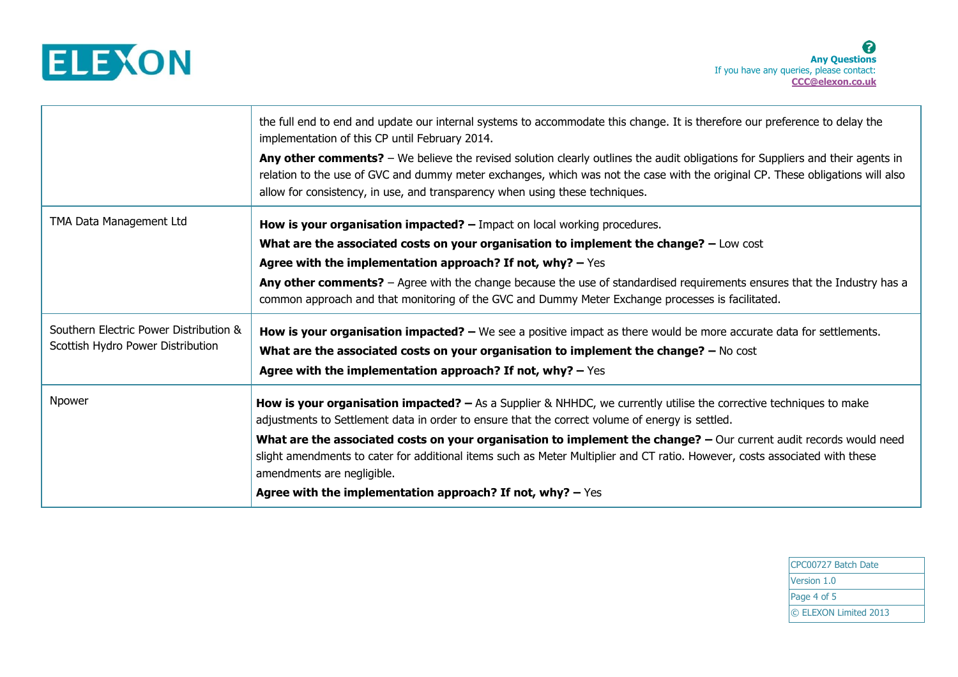

|                                                                             | the full end to end and update our internal systems to accommodate this change. It is therefore our preference to delay the<br>implementation of this CP until February 2014.                                                                                                                                                                    |
|-----------------------------------------------------------------------------|--------------------------------------------------------------------------------------------------------------------------------------------------------------------------------------------------------------------------------------------------------------------------------------------------------------------------------------------------|
|                                                                             | Any other comments? - We believe the revised solution clearly outlines the audit obligations for Suppliers and their agents in<br>relation to the use of GVC and dummy meter exchanges, which was not the case with the original CP. These obligations will also<br>allow for consistency, in use, and transparency when using these techniques. |
| TMA Data Management Ltd                                                     | How is your organisation impacted? $-$ Impact on local working procedures.                                                                                                                                                                                                                                                                       |
|                                                                             | What are the associated costs on your organisation to implement the change? - Low cost                                                                                                                                                                                                                                                           |
|                                                                             | Agree with the implementation approach? If not, why? $-$ Yes                                                                                                                                                                                                                                                                                     |
|                                                                             | Any other comments? - Agree with the change because the use of standardised requirements ensures that the Industry has a<br>common approach and that monitoring of the GVC and Dummy Meter Exchange processes is facilitated.                                                                                                                    |
| Southern Electric Power Distribution &<br>Scottish Hydro Power Distribution | <b>How is your organisation impacted?</b> - We see a positive impact as there would be more accurate data for settlements.                                                                                                                                                                                                                       |
|                                                                             | What are the associated costs on your organisation to implement the change? - No cost<br>Agree with the implementation approach? If not, why? $-$ Yes                                                                                                                                                                                            |
| Npower                                                                      | How is your organisation impacted? $-$ As a Supplier & NHHDC, we currently utilise the corrective techniques to make<br>adjustments to Settlement data in order to ensure that the correct volume of energy is settled.                                                                                                                          |
|                                                                             | What are the associated costs on your organisation to implement the change? - Our current audit records would need<br>slight amendments to cater for additional items such as Meter Multiplier and CT ratio. However, costs associated with these<br>amendments are negligible.                                                                  |
|                                                                             | Agree with the implementation approach? If not, why? $-$ Yes                                                                                                                                                                                                                                                                                     |

CPC00727 Batch Date Version 1.0 Page 4 of 5 © ELEXON Limited 2013